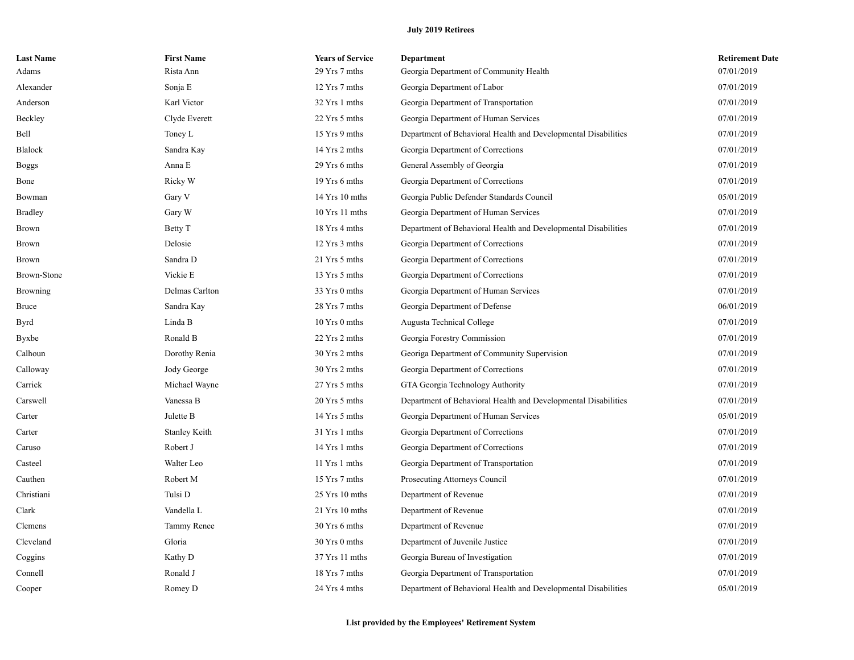| <b>Last Name</b> | <b>First Name</b>    | <b>Years of Service</b> | <b>Department</b>                                              | <b>Retirement Date</b> |
|------------------|----------------------|-------------------------|----------------------------------------------------------------|------------------------|
| Adams            | Rista Ann            | 29 Yrs 7 mths           | Georgia Department of Community Health                         | 07/01/2019             |
| Alexander        | Sonja E              | 12 Yrs 7 mths           | Georgia Department of Labor                                    | 07/01/2019             |
| Anderson         | Karl Victor          | 32 Yrs 1 mths           | Georgia Department of Transportation                           | 07/01/2019             |
| Beckley          | Clyde Everett        | 22 Yrs 5 mths           | Georgia Department of Human Services                           | 07/01/2019             |
| Bell             | Toney L              | 15 Yrs 9 mths           | Department of Behavioral Health and Developmental Disabilities | 07/01/2019             |
| <b>Blalock</b>   | Sandra Kay           | 14 Yrs 2 mths           | Georgia Department of Corrections                              | 07/01/2019             |
| <b>Boggs</b>     | Anna E               | 29 Yrs 6 mths           | General Assembly of Georgia                                    | 07/01/2019             |
| Bone             | Ricky W              | 19 Yrs 6 mths           | Georgia Department of Corrections                              | 07/01/2019             |
| Bowman           | Gary V               | 14 Yrs 10 mths          | Georgia Public Defender Standards Council                      | 05/01/2019             |
| <b>Bradley</b>   | Gary W               | 10 Yrs 11 mths          | Georgia Department of Human Services                           | 07/01/2019             |
| <b>Brown</b>     | Betty T              | 18 Yrs 4 mths           | Department of Behavioral Health and Developmental Disabilities | 07/01/2019             |
| Brown            | Delosie              | $12$ Yrs $3$ mths       | Georgia Department of Corrections                              | 07/01/2019             |
| Brown            | Sandra D             | 21 Yrs 5 mths           | Georgia Department of Corrections                              | 07/01/2019             |
| Brown-Stone      | Vickie E             | 13 Yrs 5 mths           | Georgia Department of Corrections                              | 07/01/2019             |
| <b>Browning</b>  | Delmas Carlton       | 33 Yrs 0 mths           | Georgia Department of Human Services                           | 07/01/2019             |
| Bruce            | Sandra Kay           | 28 Yrs 7 mths           | Georgia Department of Defense                                  | 06/01/2019             |
| Byrd             | Linda B              | 10 Yrs 0 mths           | Augusta Technical College                                      | 07/01/2019             |
| Byxbe            | Ronald B             | 22 Yrs 2 mths           | Georgia Forestry Commission                                    | 07/01/2019             |
| Calhoun          | Dorothy Renia        | 30 Yrs 2 mths           | Georiga Department of Community Supervision                    | 07/01/2019             |
| Calloway         | Jody George          | 30 Yrs 2 mths           | Georgia Department of Corrections                              | 07/01/2019             |
| Carrick          | Michael Wayne        | 27 Yrs 5 mths           | GTA Georgia Technology Authority                               | 07/01/2019             |
| Carswell         | Vanessa B            | 20 Yrs 5 mths           | Department of Behavioral Health and Developmental Disabilities | 07/01/2019             |
| Carter           | Julette B            | 14 Yrs 5 mths           | Georgia Department of Human Services                           | 05/01/2019             |
| Carter           | <b>Stanley Keith</b> | 31 Yrs 1 mths           | Georgia Department of Corrections                              | 07/01/2019             |
| Caruso           | Robert J             | 14 Yrs 1 mths           | Georgia Department of Corrections                              | 07/01/2019             |
| Casteel          | Walter Leo           | 11 Yrs 1 mths           | Georgia Department of Transportation                           | 07/01/2019             |
| Cauthen          | Robert M             | 15 Yrs 7 mths           | Prosecuting Attorneys Council                                  | 07/01/2019             |
| Christiani       | Tulsi D              | 25 Yrs 10 mths          | Department of Revenue                                          | 07/01/2019             |
| Clark            | Vandella L           | 21 Yrs 10 mths          | Department of Revenue                                          | 07/01/2019             |
| Clemens          | Tammy Renee          | 30 Yrs 6 mths           | Department of Revenue                                          | 07/01/2019             |
| Cleveland        | Gloria               | 30 Yrs 0 mths           | Department of Juvenile Justice                                 | 07/01/2019             |
| Coggins          | Kathy D              | 37 Yrs 11 mths          | Georgia Bureau of Investigation                                | 07/01/2019             |
| Connell          | Ronald J             | 18 Yrs 7 mths           | Georgia Department of Transportation                           | 07/01/2019             |
| Cooper           | Romey D              | 24 Yrs 4 mths           | Department of Behavioral Health and Developmental Disabilities | 05/01/2019             |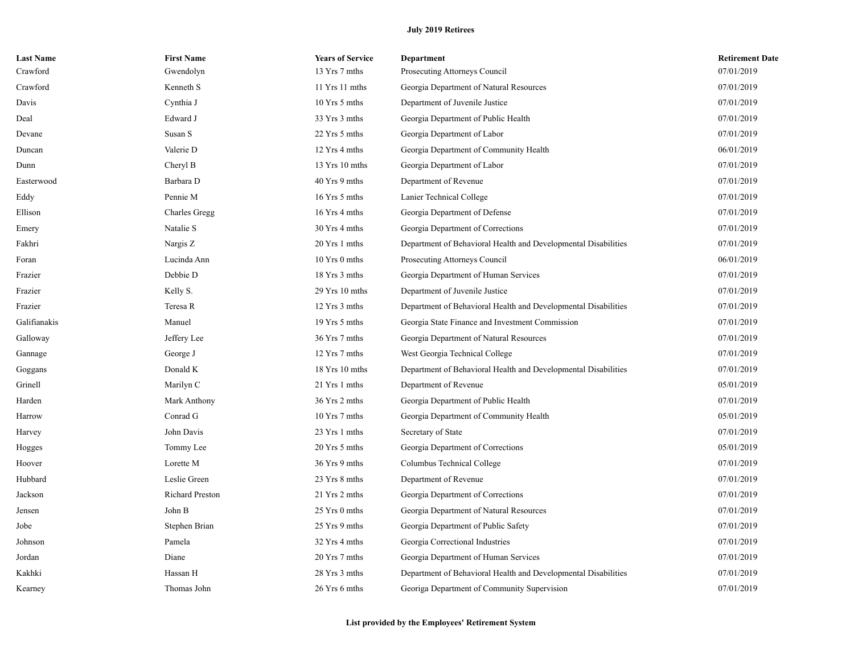| <b>Last Name</b> | <b>First Name</b>      | <b>Years of Service</b> | <b>Department</b>                                              | <b>Retirement Date</b> |
|------------------|------------------------|-------------------------|----------------------------------------------------------------|------------------------|
| Crawford         | Gwendolyn              | 13 Yrs 7 mths           | Prosecuting Attorneys Council                                  | 07/01/2019             |
| Crawford         | Kenneth S              | 11 Yrs 11 mths          | Georgia Department of Natural Resources                        | 07/01/2019             |
| Davis            | Cynthia J              | 10 Yrs 5 mths           | Department of Juvenile Justice                                 | 07/01/2019             |
| Deal             | Edward J               | 33 Yrs 3 mths           | Georgia Department of Public Health                            | 07/01/2019             |
| Devane           | Susan S                | 22 Yrs 5 mths           | Georgia Department of Labor                                    | 07/01/2019             |
| Duncan           | Valerie D              | 12 Yrs 4 mths           | Georgia Department of Community Health                         | 06/01/2019             |
| Dunn             | Cheryl B               | 13 Yrs 10 mths          | Georgia Department of Labor                                    | 07/01/2019             |
| Easterwood       | Barbara D              | 40 Yrs 9 mths           | Department of Revenue                                          | 07/01/2019             |
| Eddy             | Pennie M               | 16 Yrs 5 mths           | Lanier Technical College                                       | 07/01/2019             |
| Ellison          | Charles Gregg          | 16 Yrs 4 mths           | Georgia Department of Defense                                  | 07/01/2019             |
| Emery            | Natalie S              | 30 Yrs 4 mths           | Georgia Department of Corrections                              | 07/01/2019             |
| Fakhri           | Nargis Z               | 20 Yrs 1 mths           | Department of Behavioral Health and Developmental Disabilities | 07/01/2019             |
| Foran            | Lucinda Ann            | 10 Yrs 0 mths           | Prosecuting Attorneys Council                                  | 06/01/2019             |
| Frazier          | Debbie D               | 18 Yrs 3 mths           | Georgia Department of Human Services                           | 07/01/2019             |
| Frazier          | Kelly S.               | 29 Yrs 10 mths          | Department of Juvenile Justice                                 | 07/01/2019             |
| Frazier          | Teresa R               | 12 Yrs 3 mths           | Department of Behavioral Health and Developmental Disabilities | 07/01/2019             |
| Galifianakis     | Manuel                 | 19 Yrs 5 mths           | Georgia State Finance and Investment Commission                | 07/01/2019             |
| Galloway         | Jeffery Lee            | 36 Yrs 7 mths           | Georgia Department of Natural Resources                        | 07/01/2019             |
| Gannage          | George J               | 12 Yrs 7 mths           | West Georgia Technical College                                 | 07/01/2019             |
| Goggans          | Donald K               | 18 Yrs 10 mths          | Department of Behavioral Health and Developmental Disabilities | 07/01/2019             |
| Grinell          | Marilyn C              | 21 Yrs 1 mths           | Department of Revenue                                          | 05/01/2019             |
| Harden           | Mark Anthony           | 36 Yrs 2 mths           | Georgia Department of Public Health                            | 07/01/2019             |
| Harrow           | Conrad G               | 10 Yrs 7 mths           | Georgia Department of Community Health                         | 05/01/2019             |
| Harvey           | John Davis             | 23 Yrs 1 mths           | Secretary of State                                             | 07/01/2019             |
| Hogges           | Tommy Lee              | 20 Yrs 5 mths           | Georgia Department of Corrections                              | 05/01/2019             |
| Hoover           | Lorette M              | 36 Yrs 9 mths           | Columbus Technical College                                     | 07/01/2019             |
| Hubbard          | Leslie Green           | 23 Yrs 8 mths           | Department of Revenue                                          | 07/01/2019             |
| Jackson          | <b>Richard Preston</b> | 21 Yrs 2 mths           | Georgia Department of Corrections                              | 07/01/2019             |
| Jensen           | John B                 | 25 Yrs 0 mths           | Georgia Department of Natural Resources                        | 07/01/2019             |
| Jobe             | Stephen Brian          | 25 Yrs 9 mths           | Georgia Department of Public Safety                            | 07/01/2019             |
| Johnson          | Pamela                 | 32 Yrs 4 mths           | Georgia Correctional Industries                                | 07/01/2019             |
| Jordan           | Diane                  | 20 Yrs 7 mths           | Georgia Department of Human Services                           | 07/01/2019             |
| Kakhki           | Hassan H               | 28 Yrs 3 mths           | Department of Behavioral Health and Developmental Disabilities | 07/01/2019             |
| Kearney          | Thomas John            | 26 Yrs 6 mths           | Georiga Department of Community Supervision                    | 07/01/2019             |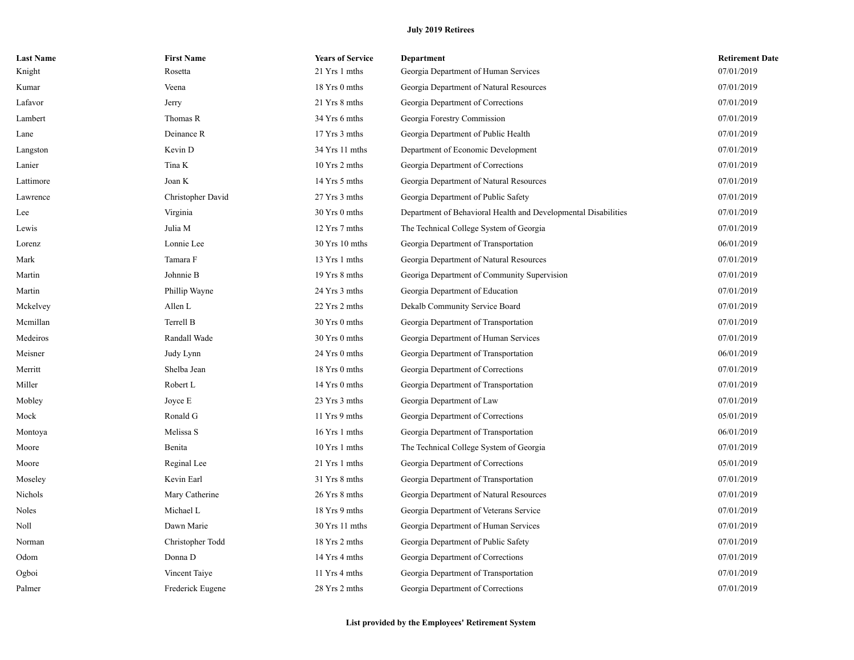| <b>Last Name</b> | <b>First Name</b> | <b>Years of Service</b> | Department                                                     | <b>Retirement Date</b> |
|------------------|-------------------|-------------------------|----------------------------------------------------------------|------------------------|
| Knight           | Rosetta           | 21 Yrs 1 mths           | Georgia Department of Human Services                           | 07/01/2019             |
| Kumar            | Veena             | 18 Yrs 0 mths           | Georgia Department of Natural Resources                        | 07/01/2019             |
| Lafavor          | Jerry             | 21 Yrs 8 mths           | Georgia Department of Corrections                              | 07/01/2019             |
| Lambert          | Thomas R          | 34 Yrs 6 mths           | Georgia Forestry Commission                                    | 07/01/2019             |
| Lane             | Deinance R        | 17 Yrs 3 mths           | Georgia Department of Public Health                            | 07/01/2019             |
| Langston         | Kevin D           | 34 Yrs 11 mths          | Department of Economic Development                             | 07/01/2019             |
| Lanier           | Tina K            | 10 Yrs 2 mths           | Georgia Department of Corrections                              | 07/01/2019             |
| Lattimore        | Joan K            | 14 Yrs 5 mths           | Georgia Department of Natural Resources                        | 07/01/2019             |
| Lawrence         | Christopher David | 27 Yrs 3 mths           | Georgia Department of Public Safety                            | 07/01/2019             |
| Lee              | Virginia          | 30 Yrs 0 mths           | Department of Behavioral Health and Developmental Disabilities | 07/01/2019             |
| Lewis            | Julia M           | 12 Yrs 7 mths           | The Technical College System of Georgia                        | 07/01/2019             |
| Lorenz           | Lonnie Lee        | $30$ Yrs 10 mths        | Georgia Department of Transportation                           | 06/01/2019             |
| Mark             | Tamara F          | 13 Yrs 1 mths           | Georgia Department of Natural Resources                        | 07/01/2019             |
| Martin           | Johnnie B         | 19 Yrs 8 mths           | Georiga Department of Community Supervision                    | 07/01/2019             |
| Martin           | Phillip Wayne     | 24 Yrs 3 mths           | Georgia Department of Education                                | 07/01/2019             |
| Mckelvey         | Allen L           | 22 Yrs 2 mths           | Dekalb Community Service Board                                 | 07/01/2019             |
| Mcmillan         | Terrell B         | 30 Yrs 0 mths           | Georgia Department of Transportation                           | 07/01/2019             |
| Medeiros         | Randall Wade      | 30 Yrs 0 mths           | Georgia Department of Human Services                           | 07/01/2019             |
| Meisner          | Judy Lynn         | 24 Yrs 0 mths           | Georgia Department of Transportation                           | 06/01/2019             |
| Merritt          | Shelba Jean       | 18 Yrs 0 mths           | Georgia Department of Corrections                              | 07/01/2019             |
| Miller           | Robert L          | 14 Yrs 0 mths           | Georgia Department of Transportation                           | 07/01/2019             |
| Mobley           | Joyce E           | 23 Yrs 3 mths           | Georgia Department of Law                                      | 07/01/2019             |
| Mock             | Ronald G          | 11 Yrs 9 mths           | Georgia Department of Corrections                              | 05/01/2019             |
| Montoya          | Melissa S         | 16 Yrs 1 mths           | Georgia Department of Transportation                           | 06/01/2019             |
| Moore            | Benita            | 10 Yrs 1 mths           | The Technical College System of Georgia                        | 07/01/2019             |
| Moore            | Reginal Lee       | 21 Yrs 1 mths           | Georgia Department of Corrections                              | 05/01/2019             |
| Moseley          | Kevin Earl        | 31 Yrs 8 mths           | Georgia Department of Transportation                           | 07/01/2019             |
| Nichols          | Mary Catherine    | 26 Yrs 8 mths           | Georgia Department of Natural Resources                        | 07/01/2019             |
| Noles            | Michael L         | 18 Yrs 9 mths           | Georgia Department of Veterans Service                         | 07/01/2019             |
| Noll             | Dawn Marie        | $30$ Yrs 11 mths        | Georgia Department of Human Services                           | 07/01/2019             |
| Norman           | Christopher Todd  | 18 Yrs 2 mths           | Georgia Department of Public Safety                            | 07/01/2019             |
| Odom             | Donna D           | 14 Yrs 4 mths           | Georgia Department of Corrections                              | 07/01/2019             |
| Ogboi            | Vincent Taive     | 11 Yrs 4 mths           | Georgia Department of Transportation                           | 07/01/2019             |
| Palmer           | Frederick Eugene  | 28 Yrs 2 mths           | Georgia Department of Corrections                              | 07/01/2019             |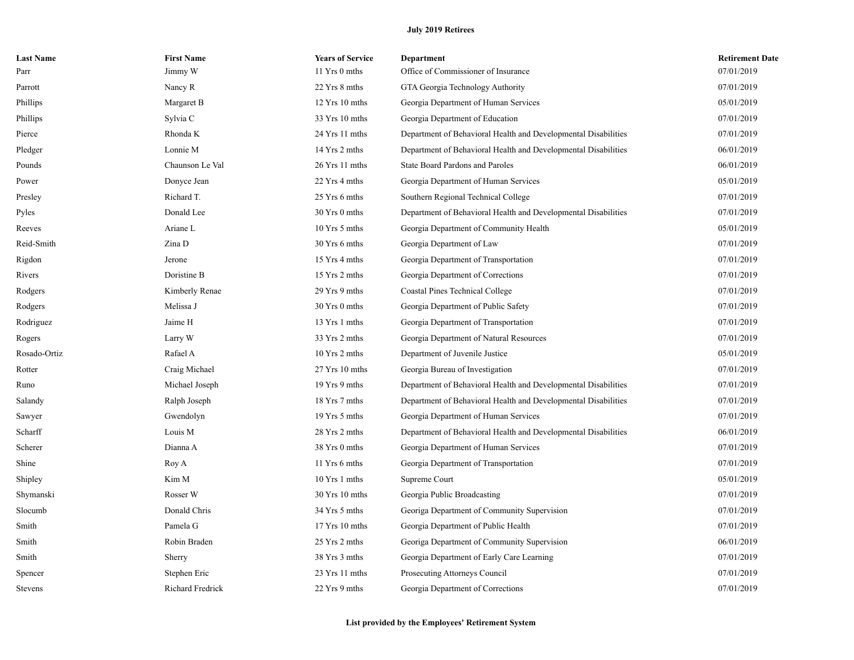| <b>Last Name</b> | <b>First Name</b> | <b>Years of Service</b> | Department                                                     | <b>Retirement Date</b> |
|------------------|-------------------|-------------------------|----------------------------------------------------------------|------------------------|
| Parr             | Jimmy W           | 11 Yrs 0 mths           | Office of Commissioner of Insurance                            | 07/01/2019             |
| Parrott          | Nancy R           | 22 Yrs 8 mths           | GTA Georgia Technology Authority                               | 07/01/2019             |
| Phillips         | Margaret B        | 12 Yrs 10 mths          | Georgia Department of Human Services                           | 05/01/2019             |
| Phillips         | Sylvia C          | 33 Yrs 10 mths          | Georgia Department of Education                                | 07/01/2019             |
| Pierce           | Rhonda K          | 24 Yrs 11 mths          | Department of Behavioral Health and Developmental Disabilities | 07/01/2019             |
| Pledger          | Lonnie M          | 14 Yrs 2 mths           | Department of Behavioral Health and Developmental Disabilities | 06/01/2019             |
| Pounds           | Chaunson Le Val   | 26 Yrs 11 mths          | <b>State Board Pardons and Paroles</b>                         | 06/01/2019             |
| Power            | Donyce Jean       | 22 Yrs 4 mths           | Georgia Department of Human Services                           | 05/01/2019             |
| Presley          | Richard T.        | 25 Yrs 6 mths           | Southern Regional Technical College                            | 07/01/2019             |
| Pyles            | Donald Lee        | 30 Yrs 0 mths           | Department of Behavioral Health and Developmental Disabilities | 07/01/2019             |
| Reeves           | Ariane L          | $10$ Yrs 5 mths         | Georgia Department of Community Health                         | 05/01/2019             |
| Reid-Smith       | Zina D            | 30 Yrs 6 mths           | Georgia Department of Law                                      | 07/01/2019             |
| Rigdon           | Jerone            | 15 Yrs 4 mths           | Georgia Department of Transportation                           | 07/01/2019             |
| Rivers           | Doristine B       | 15 Yrs 2 mths           | Georgia Department of Corrections                              | 07/01/2019             |
| Rodgers          | Kimberly Renae    | 29 Yrs 9 mths           | Coastal Pines Technical College                                | 07/01/2019             |
| Rodgers          | Melissa J         | 30 Yrs 0 mths           | Georgia Department of Public Safety                            | 07/01/2019             |
| Rodriguez        | Jaime H           | 13 Yrs 1 mths           | Georgia Department of Transportation                           | 07/01/2019             |
| Rogers           | Larry W           | 33 Yrs 2 mths           | Georgia Department of Natural Resources                        | 07/01/2019             |
| Rosado-Ortiz     | Rafael A          | 10 Yrs 2 mths           | Department of Juvenile Justice                                 | 05/01/2019             |
| Rotter           | Craig Michael     | 27 Yrs 10 mths          | Georgia Bureau of Investigation                                | 07/01/2019             |
| Runo             | Michael Joseph    | 19 Yrs 9 mths           | Department of Behavioral Health and Developmental Disabilities | 07/01/2019             |
| Salandy          | Ralph Joseph      | 18 Yrs 7 mths           | Department of Behavioral Health and Developmental Disabilities | 07/01/2019             |
| Sawyer           | Gwendolyn         | 19 Yrs 5 mths           | Georgia Department of Human Services                           | 07/01/2019             |
| Scharff          | Louis M           | 28 Yrs 2 mths           | Department of Behavioral Health and Developmental Disabilities | 06/01/2019             |
| Scherer          | Dianna A          | 38 Yrs 0 mths           | Georgia Department of Human Services                           | 07/01/2019             |
| Shine            | Roy A             | 11 Yrs 6 mths           | Georgia Department of Transportation                           | 07/01/2019             |
| Shipley          | Kim M             | 10 Yrs 1 mths           | Supreme Court                                                  | 05/01/2019             |
| Shymanski        | Rosser W          | 30 Yrs 10 mths          | Georgia Public Broadcasting                                    | 07/01/2019             |
| Slocumb          | Donald Chris      | 34 Yrs 5 mths           | Georiga Department of Community Supervision                    | 07/01/2019             |
| Smith            | Pamela G          | 17 Yrs 10 mths          | Georgia Department of Public Health                            | 07/01/2019             |
| Smith            | Robin Braden      | 25 Yrs 2 mths           | Georiga Department of Community Supervision                    | 06/01/2019             |
| Smith            | Sherry            | 38 Yrs 3 mths           | Georgia Department of Early Care Learning                      | 07/01/2019             |
| Spencer          | Stephen Eric      | 23 Yrs 11 mths          | Prosecuting Attorneys Council                                  | 07/01/2019             |
| Stevens          | Richard Fredrick  | 22 Yrs 9 mths           | Georgia Department of Corrections                              | 07/01/2019             |